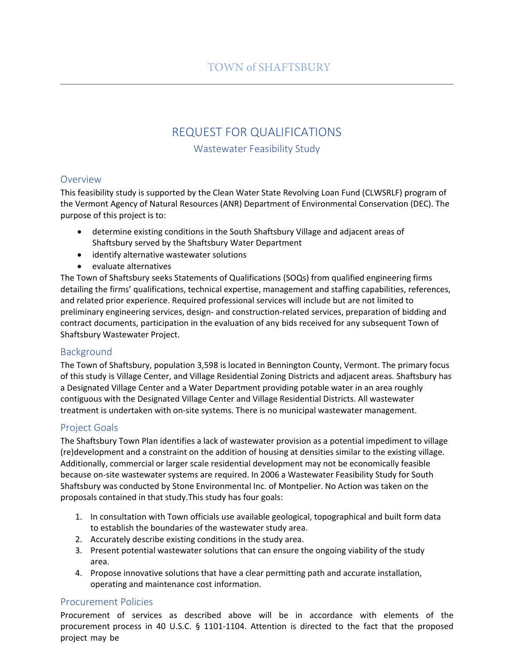# REQUEST FOR QUALIFICATIONS

Wastewater Feasibility Study

#### Overview

This feasibility study is supported by the Clean Water State Revolving Loan Fund (CLWSRLF) program of the Vermont Agency of Natural Resources (ANR) Department of Environmental Conservation (DEC). The purpose of this project is to:

- determine existing conditions in the South Shaftsbury Village and adjacent areas of Shaftsbury served by the Shaftsbury Water Department
- identify alternative wastewater solutions
- evaluate alternatives

The Town of Shaftsbury seeks Statements of Qualifications (SOQs) from qualified engineering firms detailing the firms' qualifications, technical expertise, management and staffing capabilities, references, and related prior experience. Required professional services will include but are not limited to preliminary engineering services, design- and construction-related services, preparation of bidding and contract documents, participation in the evaluation of any bids received for any subsequent Town of Shaftsbury Wastewater Project.

# Background

The Town of Shaftsbury, population 3,598 is located in Bennington County, Vermont. The primary focus of this study is Village Center, and Village Residential Zoning Districts and adjacent areas. Shaftsbury has a Designated Village Center and a Water Department providing potable water in an area roughly contiguous with the Designated Village Center and Village Residential Districts. All wastewater treatment is undertaken with on-site systems. There is no municipal wastewater management.

# Project Goals

The Shaftsbury Town Plan identifies a lack of wastewater provision as a potential impediment to village (re)development and a constraint on the addition of housing at densities similar to the existing village. Additionally, commercial or larger scale residential development may not be economically feasible because on-site wastewater systems are required. In 2006 a Wastewater Feasibility Study for South Shaftsbury was conducted by Stone Environmental Inc. of Montpelier. No Action was taken on the proposals contained in that study.This study has four goals:

- 1. In consultation with Town officials use available geological, topographical and built form data to establish the boundaries of the wastewater study area.
- 2. Accurately describe existing conditions in the study area.
- 3. Present potential wastewater solutions that can ensure the ongoing viability of the study area.
- 4. Propose innovative solutions that have a clear permitting path and accurate installation, operating and maintenance cost information.

# Procurement Policies

Procurement of services as described above will be in accordance with elements of the procurement process in 40 U.S.C. § 1101-1104. Attention is directed to the fact that the proposed project may be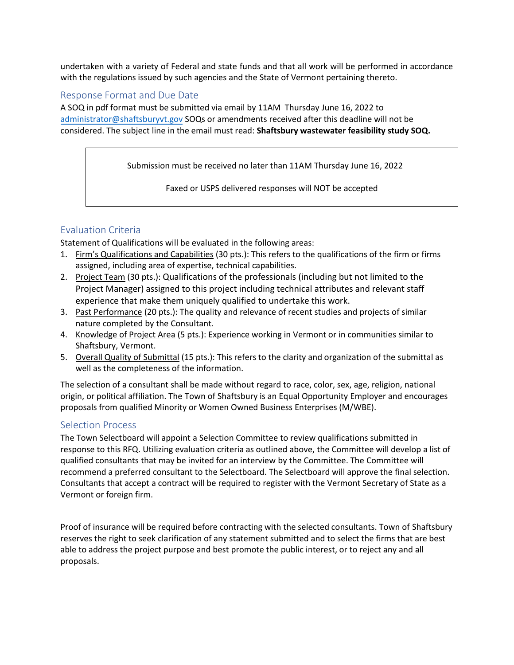undertaken with a variety of Federal and state funds and that all work will be performed in accordance with the regulations issued by such agencies and the State of Vermont pertaining thereto.

#### Response Format and Due Date

A SOQ in pdf format must be submitted via email by 11AM Thursday June 16, 2022 to [administrator@shaftsburyvt.go](mailto:norwichvtplanner@gmail.com)v SOQs or amendments received after this deadline will not be considered. The subject line in the email must read: **Shaftsbury wastewater feasibility study SOQ.**

Submission must be received no later than 11AM Thursday June 16, 2022

Faxed or USPS delivered responses will NOT be accepted

# Evaluation Criteria

Statement of Qualifications will be evaluated in the following areas:

- 1. Firm's Qualifications and Capabilities (30 pts.): This refers to the qualifications of the firm or firms assigned, including area of expertise, technical capabilities.
- 2. Project Team (30 pts.): Qualifications of the professionals (including but not limited to the Project Manager) assigned to this project including technical attributes and relevant staff experience that make them uniquely qualified to undertake this work.
- 3. Past Performance (20 pts.): The quality and relevance of recent studies and projects of similar nature completed by the Consultant.
- 4. Knowledge of Project Area (5 pts.): Experience working in Vermont or in communities similar to Shaftsbury, Vermont.
- 5. Overall Quality of Submittal (15 pts.): This refers to the clarity and organization of the submittal as well as the completeness of the information.

The selection of a consultant shall be made without regard to race, color, sex, age, religion, national origin, or political affiliation. The Town of Shaftsbury is an Equal Opportunity Employer and encourages proposals from qualified Minority or Women Owned Business Enterprises (M/WBE).

# Selection Process

The Town Selectboard will appoint a Selection Committee to review qualifications submitted in response to this RFQ. Utilizing evaluation criteria as outlined above, the Committee will develop a list of qualified consultants that may be invited for an interview by the Committee. The Committee will recommend a preferred consultant to the Selectboard. The Selectboard will approve the final selection. Consultants that accept a contract will be required to register with the Vermont Secretary of State as a Vermont or foreign firm.

Proof of insurance will be required before contracting with the selected consultants. Town of Shaftsbury reserves the right to seek clarification of any statement submitted and to select the firms that are best able to address the project purpose and best promote the public interest, or to reject any and all proposals.